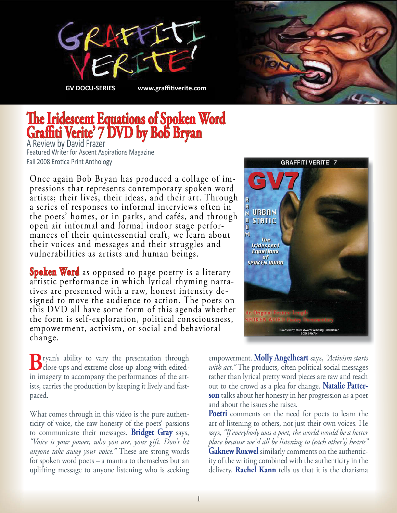



## **The Iridescent Equations of Spoken Word Gra ti Verite' 7 DVD by Bob Bryan** A Review by David Frazer

Featured Writer for Ascent Aspirations Magazine Fall 2008 Erotica Print Anthology

Once again Bob Bryan has produced a collage of impressions that represents contemporary spoken word artists; their lives, their ideas, and their art. Through a series of responses to informal interviews often in the poets' homes, or in parks, and cafés, and through open air informal and formal indoor stage performances of their quintessential craft, we learn about their voices and messages and their struggles and vulnerabilities as artists and human beings.

**Spoken Word** as opposed to page poetry is a literary artistic performance in which lyrical rhyming narratives are presented with a raw, honest intensity designed to move the audience to action. The poets on this DVD all have some form of this agenda whether the form is self-exploration, political consciousness, empowerment, activism, or social and behavioral change.

**B**ryan's ability to vary the presentation through close-ups and extreme close-up along with editedin imagery to accompany the performances of the artists, carries the production by keeping it lively and fastpaced.

What comes through in this video is the pure authenticity of voice, the raw honesty of the poets' passions to communicate their messages. **Bridget Gray** says, *"Voice is your power, who you are, your gift. Don't let anyone take away your voice."* These are strong words for spoken word poets – a mantra to themselves but an uplifting message to anyone listening who is seeking



empowerment. **Molly Angelheart** says, *"Activism starts with act."* The products, often political social messages rather than lyrical pretty word pieces are raw and reach out to the crowd as a plea for change. **Natalie Patterson** talks about her honesty in her progression as a poet and about the issues she raises.

**Poetri** comments on the need for poets to learn the art of listening to others, not just their own voices. He says, *"If everybody was a poet, the world would be a better place because we'd all be listening to (each other's) hearts"* **Gaknew Roxwel** similarly comments on the authenticity of the writing combined with the authenticity in the delivery. **Rachel Kann** tells us that it is the charisma